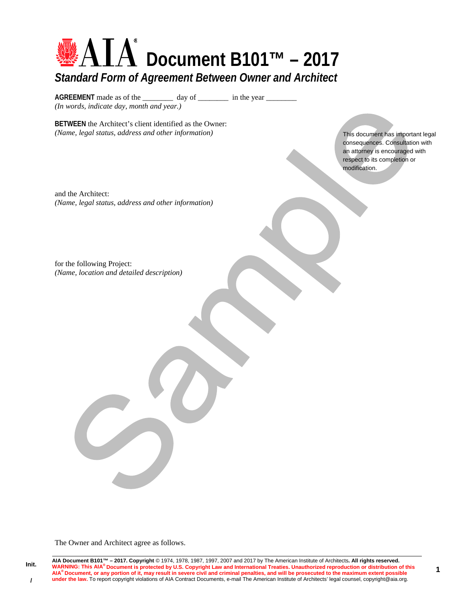

**AGREEMENT** made as of the \_\_\_\_\_\_\_\_ day of \_\_\_\_\_\_\_ in the year \_\_\_\_\_\_\_\_ *(In words, indicate day, month and year.)* 

**BETWEEN** the Architect's client identified as the Owner: *(Name, legal status, address and other information)* 

This document has important legal consequences. Consultation with an attorney is encouraged with respect to its completion or modification.

and the Architect: *(Name, legal status, address and other information)* 

for the following Project: *(Name, location and detailed description)* 

The Owner and Architect agree as follows.

**Init.** 

**/**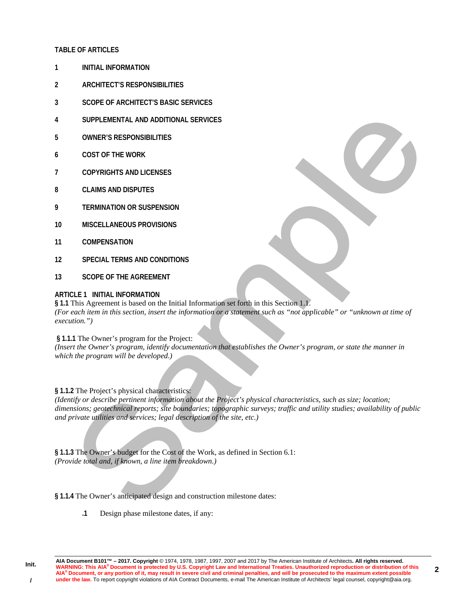## **TABLE OF ARTICLES**

- **1 INITIAL INFORMATION**
- **2 ARCHITECT'S RESPONSIBILITIES**
- **3 SCOPE OF ARCHITECT'S BASIC SERVICES**
- **4 SUPPLEMENTAL AND ADDITIONAL SERVICES**
- **5 OWNER'S RESPONSIBILITIES**
- **6 COST OF THE WORK**
- **7 COPYRIGHTS AND LICENSES**
- **8 CLAIMS AND DISPUTES**
- **9 TERMINATION OR SUSPENSION**
- **10 MISCELLANEOUS PROVISIONS**
- **11 COMPENSATION**
- **12 SPECIAL TERMS AND CONDITIONS**
- **13 SCOPE OF THE AGREEMENT**

# **ARTICLE 1 INITIAL INFORMATION**

**§ 1.1** This Agreement is based on the Initial Information set forth in this Section 1.1. *(For each item in this section, insert the information or a statement such as "not applicable" or "unknown at time of execution.")* 

### **§ 1.1.1** The Owner's program for the Project:

*(Insert the Owner's program, identify documentation that establishes the Owner's program, or state the manner in which the program will be developed.)* 

### **§ 1.1.2** The Project's physical characteristics:

*(Identify or describe pertinent information about the Project's physical characteristics, such as size; location; dimensions; geotechnical reports; site boundaries; topographic surveys; traffic and utility studies; availability of public and private utilities and services; legal description of the site, etc.)* 

**§ 1.1.3** The Owner's budget for the Cost of the Work, as defined in Section 6.1: *(Provide total and, if known, a line item breakdown.)* 

**§ 1.1.4** The Owner's anticipated design and construction milestone dates:

**.1** Design phase milestone dates, if any: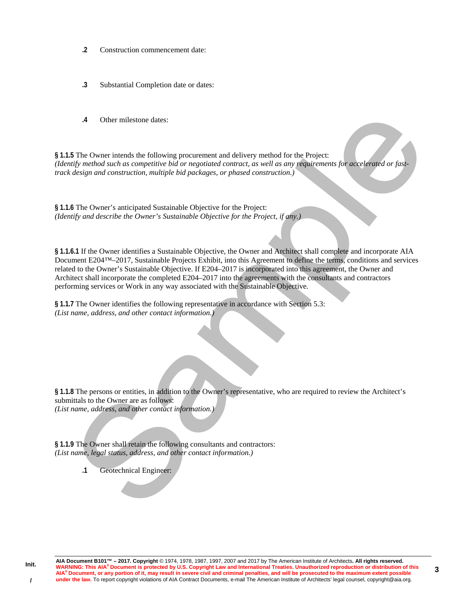- **.2** Construction commencement date:
- **.3** Substantial Completion date or dates:
- **.4** Other milestone dates:

**§ 1.1.5** The Owner intends the following procurement and delivery method for the Project: *(Identify method such as competitive bid or negotiated contract, as well as any requirements for accelerated or fasttrack design and construction, multiple bid packages, or phased construction.)* 

**§ 1.1.6** The Owner's anticipated Sustainable Objective for the Project: *(Identify and describe the Owner's Sustainable Objective for the Project, if any.)* 

**§ 1.1.6.1** If the Owner identifies a Sustainable Objective, the Owner and Architect shall complete and incorporate AIA Document E204™–2017, Sustainable Projects Exhibit, into this Agreement to define the terms, conditions and services related to the Owner's Sustainable Objective. If E204–2017 is incorporated into this agreement, the Owner and Architect shall incorporate the completed E204–2017 into the agreements with the consultants and contractors performing services or Work in any way associated with the Sustainable Objective.

**§ 1.1.7** The Owner identifies the following representative in accordance with Section 5.3: *(List name, address, and other contact information.)* 

**§ 1.1.8** The persons or entities, in addition to the Owner's representative, who are required to review the Architect's submittals to the Owner are as follows: *(List name, address, and other contact information.)* 

**§ 1.1.9** The Owner shall retain the following consultants and contractors: *(List name, legal status, address, and other contact information.)* 

**.1** Geotechnical Engineer:

**Init.** 

**/**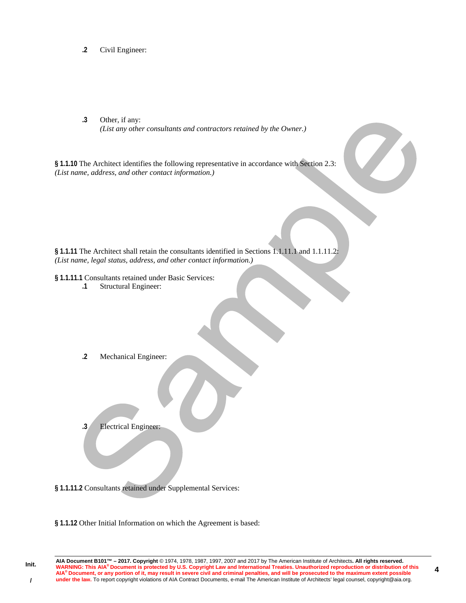**.2** Civil Engineer:

**.3** Other, if any:  *(List any other consultants and contractors retained by the Owner.)* 

**§ 1.1.10** The Architect identifies the following representative in accordance with Section 2.3: *(List name, address, and other contact information.)* 

§ 1.1.11 The Architect shall retain the consultants identified in Sections 1.1.11.1 and 1.1.11.2: *(List name, legal status, address, and other contact information.)* 

**§ 1.1.11.1** Consultants retained under Basic Services: **.1** Structural Engineer:

**.2** Mechanical Engineer:

**.3** Electrical Engineer:

í

I

**§ 1.1.11.2** Consultants retained under Supplemental Services:

**§ 1.1.12** Other Initial Information on which the Agreement is based:

**4** 

Z.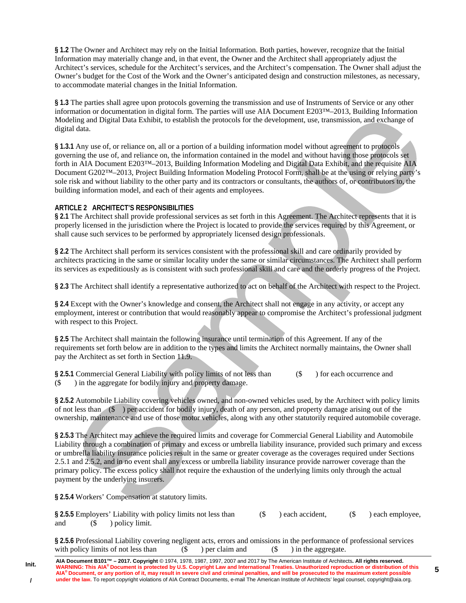**§ 1.2** The Owner and Architect may rely on the Initial Information. Both parties, however, recognize that the Initial Information may materially change and, in that event, the Owner and the Architect shall appropriately adjust the Architect's services, schedule for the Architect's services, and the Architect's compensation. The Owner shall adjust the Owner's budget for the Cost of the Work and the Owner's anticipated design and construction milestones, as necessary, to accommodate material changes in the Initial Information.

**§ 1.3** The parties shall agree upon protocols governing the transmission and use of Instruments of Service or any other information or documentation in digital form. The parties will use AIA Document E203™–2013, Building Information Modeling and Digital Data Exhibit, to establish the protocols for the development, use, transmission, and exchange of digital data.

**§ 1.3.1** Any use of, or reliance on, all or a portion of a building information model without agreement to protocols governing the use of, and reliance on, the information contained in the model and without having those protocols set forth in AIA Document E203™–2013, Building Information Modeling and Digital Data Exhibit, and the requisite AIA Document G202™–2013, Project Building Information Modeling Protocol Form, shall be at the using or relying party's sole risk and without liability to the other party and its contractors or consultants, the authors of, or contributors to, the building information model, and each of their agents and employees.

## **ARTICLE 2 ARCHITECT'S RESPONSIBILITIES**

**§ 2.1** The Architect shall provide professional services as set forth in this Agreement. The Architect represents that it is properly licensed in the jurisdiction where the Project is located to provide the services required by this Agreement, or shall cause such services to be performed by appropriately licensed design professionals.

**§ 2.2** The Architect shall perform its services consistent with the professional skill and care ordinarily provided by architects practicing in the same or similar locality under the same or similar circumstances. The Architect shall perform its services as expeditiously as is consistent with such professional skill and care and the orderly progress of the Project.

**§ 2.3** The Architect shall identify a representative authorized to act on behalf of the Architect with respect to the Project.

**§ 2.4** Except with the Owner's knowledge and consent, the Architect shall not engage in any activity, or accept any employment, interest or contribution that would reasonably appear to compromise the Architect's professional judgment with respect to this Project.

**§ 2.5** The Architect shall maintain the following insurance until termination of this Agreement. If any of the requirements set forth below are in addition to the types and limits the Architect normally maintains, the Owner shall pay the Architect as set forth in Section 11.9.

**§ 2.5.1** Commercial General Liability with policy limits of not less than (\$ ) for each occurrence and (\$ ) in the aggregate for bodily injury and property damage.

**§ 2.5.2** Automobile Liability covering vehicles owned, and non-owned vehicles used, by the Architect with policy limits of not less than (\$ ) per accident for bodily injury, death of any person, and property damage arising out of the ownership, maintenance and use of those motor vehicles, along with any other statutorily required automobile coverage.

**§ 2.5.3** The Architect may achieve the required limits and coverage for Commercial General Liability and Automobile Liability through a combination of primary and excess or umbrella liability insurance, provided such primary and excess or umbrella liability insurance policies result in the same or greater coverage as the coverages required under Sections 2.5.1 and 2.5.2, and in no event shall any excess or umbrella liability insurance provide narrower coverage than the primary policy. The excess policy shall not require the exhaustion of the underlying limits only through the actual payment by the underlying insurers.

**§ 2.5.4** Workers' Compensation at statutory limits.

**Init.** 

**/** 

**§ 2.5.5** Employers' Liability with policy limits not less than (\$ ) each accident, (\$ ) each employee, and (\$ ) policy limit.

**§ 2.5.6** Professional Liability covering negligent acts, errors and omissions in the performance of professional services with policy limits of not less than  $(\text{\$})$  per claim and  $(\text{\$})$  in the aggregate.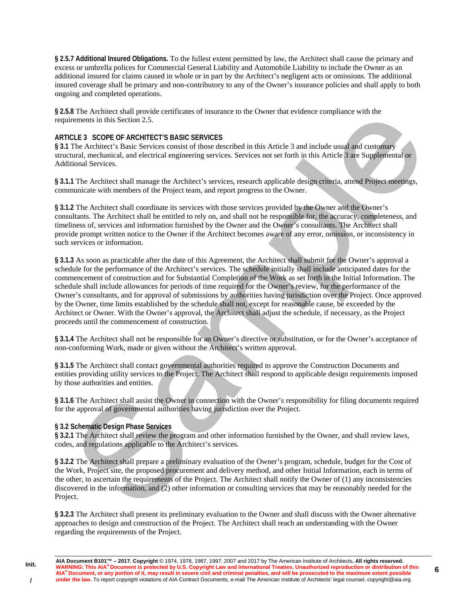**§ 2.5.7 Additional Insured Obligations.** To the fullest extent permitted by law, the Architect shall cause the primary and excess or umbrella polices for Commercial General Liability and Automobile Liability to include the Owner as an additional insured for claims caused in whole or in part by the Architect's negligent acts or omissions. The additional insured coverage shall be primary and non-contributory to any of the Owner's insurance policies and shall apply to both ongoing and completed operations.

**§ 2.5.8** The Architect shall provide certificates of insurance to the Owner that evidence compliance with the requirements in this Section 2.5.

## **ARTICLE 3 SCOPE OF ARCHITECT'S BASIC SERVICES**

**§ 3.1** The Architect's Basic Services consist of those described in this Article 3 and include usual and customary structural, mechanical, and electrical engineering services. Services not set forth in this Article 3 are Supplemental or Additional Services.

**§ 3.1.1** The Architect shall manage the Architect's services, research applicable design criteria, attend Project meetings, communicate with members of the Project team, and report progress to the Owner.

**§ 3.1.2** The Architect shall coordinate its services with those services provided by the Owner and the Owner's consultants. The Architect shall be entitled to rely on, and shall not be responsible for, the accuracy, completeness, and timeliness of, services and information furnished by the Owner and the Owner's consultants. The Architect shall provide prompt written notice to the Owner if the Architect becomes aware of any error, omission, or inconsistency in such services or information.

**§ 3.1.3** As soon as practicable after the date of this Agreement, the Architect shall submit for the Owner's approval a schedule for the performance of the Architect's services. The schedule initially shall include anticipated dates for the commencement of construction and for Substantial Completion of the Work as set forth in the Initial Information. The schedule shall include allowances for periods of time required for the Owner's review, for the performance of the Owner's consultants, and for approval of submissions by authorities having jurisdiction over the Project. Once approved by the Owner, time limits established by the schedule shall not, except for reasonable cause, be exceeded by the Architect or Owner. With the Owner's approval, the Architect shall adjust the schedule, if necessary, as the Project proceeds until the commencement of construction.

**§ 3.1.4** The Architect shall not be responsible for an Owner's directive or substitution, or for the Owner's acceptance of non-conforming Work, made or given without the Architect's written approval.

**§ 3.1.5** The Architect shall contact governmental authorities required to approve the Construction Documents and entities providing utility services to the Project. The Architect shall respond to applicable design requirements imposed by those authorities and entities.

**§ 3.1.6** The Architect shall assist the Owner in connection with the Owner's responsibility for filing documents required for the approval of governmental authorities having jurisdiction over the Project.

## **§ 3.2 Schematic Design Phase Services**

**§ 3.2.1** The Architect shall review the program and other information furnished by the Owner, and shall review laws, codes, and regulations applicable to the Architect's services.

**§ 3.2.2** The Architect shall prepare a preliminary evaluation of the Owner's program, schedule, budget for the Cost of the Work, Project site, the proposed procurement and delivery method, and other Initial Information, each in terms of the other, to ascertain the requirements of the Project. The Architect shall notify the Owner of (1) any inconsistencies discovered in the information, and (2) other information or consulting services that may be reasonably needed for the Project.

**§ 3.2.3** The Architect shall present its preliminary evaluation to the Owner and shall discuss with the Owner alternative approaches to design and construction of the Project. The Architect shall reach an understanding with the Owner regarding the requirements of the Project.

**Init. /**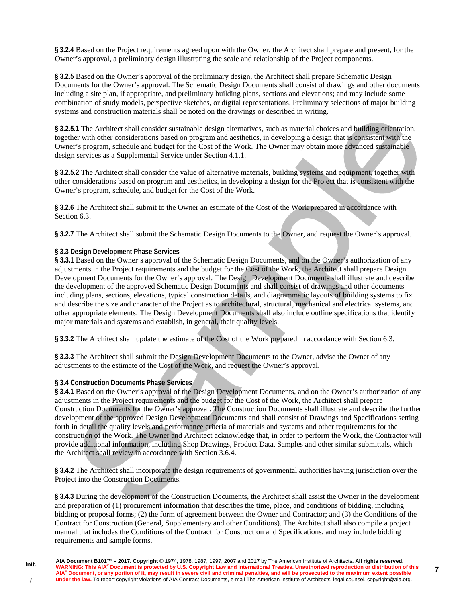**§ 3.2.4** Based on the Project requirements agreed upon with the Owner, the Architect shall prepare and present, for the Owner's approval, a preliminary design illustrating the scale and relationship of the Project components.

**§ 3.2.5** Based on the Owner's approval of the preliminary design, the Architect shall prepare Schematic Design Documents for the Owner's approval. The Schematic Design Documents shall consist of drawings and other documents including a site plan, if appropriate, and preliminary building plans, sections and elevations; and may include some combination of study models, perspective sketches, or digital representations. Preliminary selections of major building systems and construction materials shall be noted on the drawings or described in writing.

**§ 3.2.5.1** The Architect shall consider sustainable design alternatives, such as material choices and building orientation, together with other considerations based on program and aesthetics, in developing a design that is consistent with the Owner's program, schedule and budget for the Cost of the Work. The Owner may obtain more advanced sustainable design services as a Supplemental Service under Section 4.1.1.

**§ 3.2.5.2** The Architect shall consider the value of alternative materials, building systems and equipment, together with other considerations based on program and aesthetics, in developing a design for the Project that is consistent with the Owner's program, schedule, and budget for the Cost of the Work.

**§ 3.2.6** The Architect shall submit to the Owner an estimate of the Cost of the Work prepared in accordance with Section 6.3.

**§ 3.2.7** The Architect shall submit the Schematic Design Documents to the Owner, and request the Owner's approval.

## **§ 3.3 Design Development Phase Services**

**§ 3.3.1** Based on the Owner's approval of the Schematic Design Documents, and on the Owner's authorization of any adjustments in the Project requirements and the budget for the Cost of the Work, the Architect shall prepare Design Development Documents for the Owner's approval. The Design Development Documents shall illustrate and describe the development of the approved Schematic Design Documents and shall consist of drawings and other documents including plans, sections, elevations, typical construction details, and diagrammatic layouts of building systems to fix and describe the size and character of the Project as to architectural, structural, mechanical and electrical systems, and other appropriate elements. The Design Development Documents shall also include outline specifications that identify major materials and systems and establish, in general, their quality levels.

**§ 3.3.2** The Architect shall update the estimate of the Cost of the Work prepared in accordance with Section 6.3.

**§ 3.3.3** The Architect shall submit the Design Development Documents to the Owner, advise the Owner of any adjustments to the estimate of the Cost of the Work, and request the Owner's approval.

### **§ 3.4 Construction Documents Phase Services**

**Init.** 

**/** 

**§ 3.4.1** Based on the Owner's approval of the Design Development Documents, and on the Owner's authorization of any adjustments in the Project requirements and the budget for the Cost of the Work, the Architect shall prepare Construction Documents for the Owner's approval. The Construction Documents shall illustrate and describe the further development of the approved Design Development Documents and shall consist of Drawings and Specifications setting forth in detail the quality levels and performance criteria of materials and systems and other requirements for the construction of the Work. The Owner and Architect acknowledge that, in order to perform the Work, the Contractor will provide additional information, including Shop Drawings, Product Data, Samples and other similar submittals, which the Architect shall review in accordance with Section 3.6.4.

**§ 3.4.2** The Architect shall incorporate the design requirements of governmental authorities having jurisdiction over the Project into the Construction Documents.

**§ 3.4.3** During the development of the Construction Documents, the Architect shall assist the Owner in the development and preparation of (1) procurement information that describes the time, place, and conditions of bidding, including bidding or proposal forms; (2) the form of agreement between the Owner and Contractor; and (3) the Conditions of the Contract for Construction (General, Supplementary and other Conditions). The Architect shall also compile a project manual that includes the Conditions of the Contract for Construction and Specifications, and may include bidding requirements and sample forms.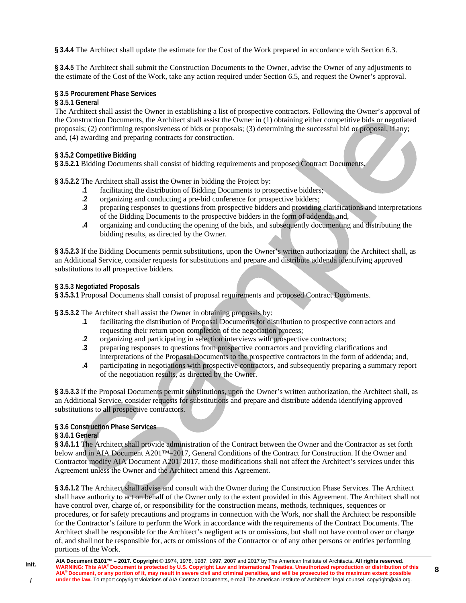**§ 3.4.4** The Architect shall update the estimate for the Cost of the Work prepared in accordance with Section 6.3.

**§ 3.4.5** The Architect shall submit the Construction Documents to the Owner, advise the Owner of any adjustments to the estimate of the Cost of the Work, take any action required under Section 6.5, and request the Owner's approval.

### **§ 3.5 Procurement Phase Services**

### **§ 3.5.1 General**

The Architect shall assist the Owner in establishing a list of prospective contractors. Following the Owner's approval of the Construction Documents, the Architect shall assist the Owner in (1) obtaining either competitive bids or negotiated proposals; (2) confirming responsiveness of bids or proposals; (3) determining the successful bid or proposal, if any; and, (4) awarding and preparing contracts for construction.

## **§ 3.5.2 Competitive Bidding**

**§ 3.5.2.1** Bidding Documents shall consist of bidding requirements and proposed Contract Documents.

**§ 3.5.2.2** The Architect shall assist the Owner in bidding the Project by:

- **.1** facilitating the distribution of Bidding Documents to prospective bidders;
- **.2** organizing and conducting a pre-bid conference for prospective bidders;
- **.3** preparing responses to questions from prospective bidders and providing clarifications and interpretations of the Bidding Documents to the prospective bidders in the form of addenda; and,
- **.4** organizing and conducting the opening of the bids, and subsequently documenting and distributing the bidding results, as directed by the Owner.

**§ 3.5.2.3** If the Bidding Documents permit substitutions, upon the Owner's written authorization, the Architect shall, as an Additional Service, consider requests for substitutions and prepare and distribute addenda identifying approved substitutions to all prospective bidders.

## **§ 3.5.3 Negotiated Proposals**

**§ 3.5.3.1** Proposal Documents shall consist of proposal requirements and proposed Contract Documents.

**§ 3.5.3.2** The Architect shall assist the Owner in obtaining proposals by:

- **.1** facilitating the distribution of Proposal Documents for distribution to prospective contractors and requesting their return upon completion of the negotiation process;
- **.2** organizing and participating in selection interviews with prospective contractors;
- **.3** preparing responses to questions from prospective contractors and providing clarifications and interpretations of the Proposal Documents to the prospective contractors in the form of addenda; and,
- **.4** participating in negotiations with prospective contractors, and subsequently preparing a summary report of the negotiation results, as directed by the Owner.

**§ 3.5.3.3** If the Proposal Documents permit substitutions, upon the Owner's written authorization, the Architect shall, as an Additional Service, consider requests for substitutions and prepare and distribute addenda identifying approved substitutions to all prospective contractors.

# **§ 3.6 Construction Phase Services**

## **§ 3.6.1 General**

**Init.** 

**/** 

**§ 3.6.1.1** The Architect shall provide administration of the Contract between the Owner and the Contractor as set forth below and in AIA Document A201™–2017, General Conditions of the Contract for Construction. If the Owner and Contractor modify AIA Document A201–2017, those modifications shall not affect the Architect's services under this Agreement unless the Owner and the Architect amend this Agreement.

**§ 3.6.1.2** The Architect shall advise and consult with the Owner during the Construction Phase Services. The Architect shall have authority to act on behalf of the Owner only to the extent provided in this Agreement. The Architect shall not have control over, charge of, or responsibility for the construction means, methods, techniques, sequences or procedures, or for safety precautions and programs in connection with the Work, nor shall the Architect be responsible for the Contractor's failure to perform the Work in accordance with the requirements of the Contract Documents. The Architect shall be responsible for the Architect's negligent acts or omissions, but shall not have control over or charge of, and shall not be responsible for, acts or omissions of the Contractor or of any other persons or entities performing portions of the Work.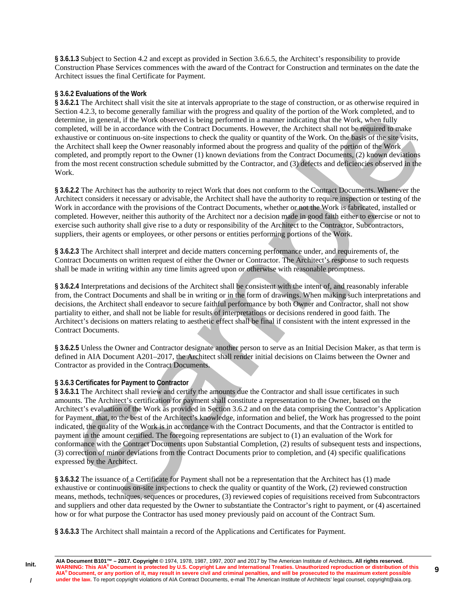**§ 3.6.1.3** Subject to Section 4.2 and except as provided in Section 3.6.6.5, the Architect's responsibility to provide Construction Phase Services commences with the award of the Contract for Construction and terminates on the date the Architect issues the final Certificate for Payment.

## **§ 3.6.2 Evaluations of the Work**

**§ 3.6.2.1** The Architect shall visit the site at intervals appropriate to the stage of construction, or as otherwise required in Section 4.2.3, to become generally familiar with the progress and quality of the portion of the Work completed, and to determine, in general, if the Work observed is being performed in a manner indicating that the Work, when fully completed, will be in accordance with the Contract Documents. However, the Architect shall not be required to make exhaustive or continuous on-site inspections to check the quality or quantity of the Work. On the basis of the site visits, the Architect shall keep the Owner reasonably informed about the progress and quality of the portion of the Work completed, and promptly report to the Owner (1) known deviations from the Contract Documents, (2) known deviations from the most recent construction schedule submitted by the Contractor, and (3) defects and deficiencies observed in the Work.

**§ 3.6.2.2** The Architect has the authority to reject Work that does not conform to the Contract Documents. Whenever the Architect considers it necessary or advisable, the Architect shall have the authority to require inspection or testing of the Work in accordance with the provisions of the Contract Documents, whether or not the Work is fabricated, installed or completed. However, neither this authority of the Architect nor a decision made in good faith either to exercise or not to exercise such authority shall give rise to a duty or responsibility of the Architect to the Contractor, Subcontractors, suppliers, their agents or employees, or other persons or entities performing portions of the Work.

**§ 3.6.2.3** The Architect shall interpret and decide matters concerning performance under, and requirements of, the Contract Documents on written request of either the Owner or Contractor. The Architect's response to such requests shall be made in writing within any time limits agreed upon or otherwise with reasonable promptness.

**§ 3.6.2.4** Interpretations and decisions of the Architect shall be consistent with the intent of, and reasonably inferable from, the Contract Documents and shall be in writing or in the form of drawings. When making such interpretations and decisions, the Architect shall endeavor to secure faithful performance by both Owner and Contractor, shall not show partiality to either, and shall not be liable for results of interpretations or decisions rendered in good faith. The Architect's decisions on matters relating to aesthetic effect shall be final if consistent with the intent expressed in the Contract Documents.

**§ 3.6.2.5** Unless the Owner and Contractor designate another person to serve as an Initial Decision Maker, as that term is defined in AIA Document A201–2017, the Architect shall render initial decisions on Claims between the Owner and Contractor as provided in the Contract Documents.

### **§ 3.6.3 Certificates for Payment to Contractor**

**Init.** 

**/** 

**§ 3.6.3.1** The Architect shall review and certify the amounts due the Contractor and shall issue certificates in such amounts. The Architect's certification for payment shall constitute a representation to the Owner, based on the Architect's evaluation of the Work as provided in Section 3.6.2 and on the data comprising the Contractor's Application for Payment, that, to the best of the Architect's knowledge, information and belief, the Work has progressed to the point indicated, the quality of the Work is in accordance with the Contract Documents, and that the Contractor is entitled to payment in the amount certified. The foregoing representations are subject to (1) an evaluation of the Work for conformance with the Contract Documents upon Substantial Completion, (2) results of subsequent tests and inspections, (3) correction of minor deviations from the Contract Documents prior to completion, and (4) specific qualifications expressed by the Architect.

**§ 3.6.3.2** The issuance of a Certificate for Payment shall not be a representation that the Architect has (1) made exhaustive or continuous on-site inspections to check the quality or quantity of the Work, (2) reviewed construction means, methods, techniques, sequences or procedures, (3) reviewed copies of requisitions received from Subcontractors and suppliers and other data requested by the Owner to substantiate the Contractor's right to payment, or (4) ascertained how or for what purpose the Contractor has used money previously paid on account of the Contract Sum.

**§ 3.6.3.3** The Architect shall maintain a record of the Applications and Certificates for Payment.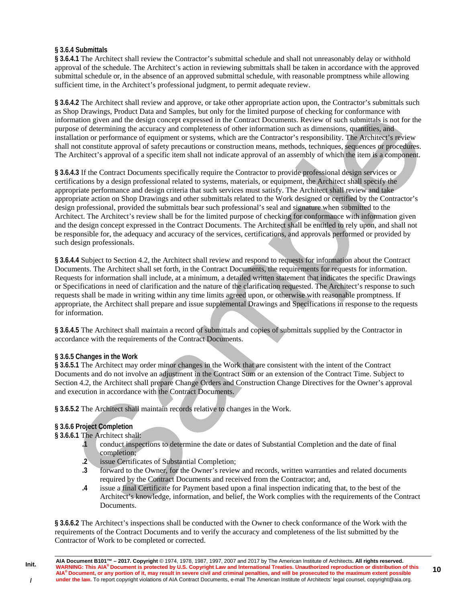# **§ 3.6.4 Submittals**

**§ 3.6.4.1** The Architect shall review the Contractor's submittal schedule and shall not unreasonably delay or withhold approval of the schedule. The Architect's action in reviewing submittals shall be taken in accordance with the approved submittal schedule or, in the absence of an approved submittal schedule, with reasonable promptness while allowing sufficient time, in the Architect's professional judgment, to permit adequate review.

**§ 3.6.4.2** The Architect shall review and approve, or take other appropriate action upon, the Contractor's submittals such as Shop Drawings, Product Data and Samples, but only for the limited purpose of checking for conformance with information given and the design concept expressed in the Contract Documents. Review of such submittals is not for the purpose of determining the accuracy and completeness of other information such as dimensions, quantities, and installation or performance of equipment or systems, which are the Contractor's responsibility. The Architect's review shall not constitute approval of safety precautions or construction means, methods, techniques, sequences or procedures. The Architect's approval of a specific item shall not indicate approval of an assembly of which the item is a component.

**§ 3.6.4.3** If the Contract Documents specifically require the Contractor to provide professional design services or certifications by a design professional related to systems, materials, or equipment, the Architect shall specify the appropriate performance and design criteria that such services must satisfy. The Architect shall review and take appropriate action on Shop Drawings and other submittals related to the Work designed or certified by the Contractor's design professional, provided the submittals bear such professional's seal and signature when submitted to the Architect. The Architect's review shall be for the limited purpose of checking for conformance with information given and the design concept expressed in the Contract Documents. The Architect shall be entitled to rely upon, and shall not be responsible for, the adequacy and accuracy of the services, certifications, and approvals performed or provided by such design professionals.

**§ 3.6.4.4** Subject to Section 4.2, the Architect shall review and respond to requests for information about the Contract Documents. The Architect shall set forth, in the Contract Documents, the requirements for requests for information. Requests for information shall include, at a minimum, a detailed written statement that indicates the specific Drawings or Specifications in need of clarification and the nature of the clarification requested. The Architect's response to such requests shall be made in writing within any time limits agreed upon, or otherwise with reasonable promptness. If appropriate, the Architect shall prepare and issue supplemental Drawings and Specifications in response to the requests for information.

**§ 3.6.4.5** The Architect shall maintain a record of submittals and copies of submittals supplied by the Contractor in accordance with the requirements of the Contract Documents.

# **§ 3.6.5 Changes in the Work**

**§ 3.6.5.1** The Architect may order minor changes in the Work that are consistent with the intent of the Contract Documents and do not involve an adjustment in the Contract Sum or an extension of the Contract Time. Subject to Section 4.2, the Architect shall prepare Change Orders and Construction Change Directives for the Owner's approval and execution in accordance with the Contract Documents.

**§ 3.6.5.2** The Architect shall maintain records relative to changes in the Work.

# **§ 3.6.6 Project Completion**

**Init.** 

**/** 

- **§ 3.6.6.1** The Architect shall:
	- **.1** conduct inspections to determine the date or dates of Substantial Completion and the date of final completion;
	- **.2** issue Certificates of Substantial Completion;
	- **.3** forward to the Owner, for the Owner's review and records, written warranties and related documents required by the Contract Documents and received from the Contractor; and,
	- **.4** issue a final Certificate for Payment based upon a final inspection indicating that, to the best of the Architect's knowledge, information, and belief, the Work complies with the requirements of the Contract Documents.

**§ 3.6.6.2** The Architect's inspections shall be conducted with the Owner to check conformance of the Work with the requirements of the Contract Documents and to verify the accuracy and completeness of the list submitted by the Contractor of Work to be completed or corrected.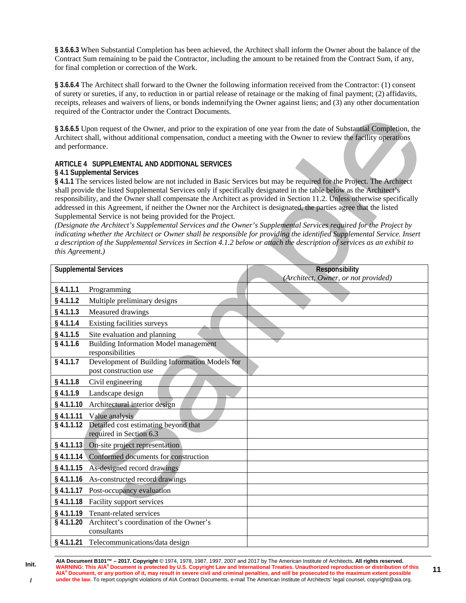**§ 3.6.6.3** When Substantial Completion has been achieved, the Architect shall inform the Owner about the balance of the Contract Sum remaining to be paid the Contractor, including the amount to be retained from the Contract Sum, if any, for final completion or correction of the Work.

**§ 3.6.6.4** The Architect shall forward to the Owner the following information received from the Contractor: (1) consent of surety or sureties, if any, to reduction in or partial release of retainage or the making of final payment; (2) affidavits, receipts, releases and waivers of liens, or bonds indemnifying the Owner against liens; and (3) any other documentation required of the Contractor under the Contract Documents.

**§ 3.6.6.5** Upon request of the Owner, and prior to the expiration of one year from the date of Substantial Completion, the Architect shall, without additional compensation, conduct a meeting with the Owner to review the facility operations and performance.

## **ARTICLE 4 SUPPLEMENTAL AND ADDITIONAL SERVICES**

### **§ 4.1 Supplemental Services**

**§ 4.1.1** The services listed below are not included in Basic Services but may be required for the Project. The Architect shall provide the listed Supplemental Services only if specifically designated in the table below as the Architect's responsibility, and the Owner shall compensate the Architect as provided in Section 11.2. Unless otherwise specifically addressed in this Agreement, if neither the Owner nor the Architect is designated, the parties agree that the listed Supplemental Service is not being provided for the Project.

*(Designate the Architect's Supplemental Services and the Owner's Supplemental Services required for the Project by indicating whether the Architect or Owner shall be responsible for providing the identified Supplemental Service. Insert a description of the Supplemental Services in Section 4.1.2 below or attach the description of services as an exhibit to this Agreement.)* 

| <b>Supplemental Services</b> |                                                                         | Responsibility                      |  |  |
|------------------------------|-------------------------------------------------------------------------|-------------------------------------|--|--|
|                              |                                                                         | (Architect, Owner, or not provided) |  |  |
| § 4.1.1.1                    | Programming                                                             |                                     |  |  |
| $§$ 4.1.1.2                  | Multiple preliminary designs                                            |                                     |  |  |
| $§$ 4.1.1.3                  | Measured drawings                                                       |                                     |  |  |
| $§$ 4.1.1.4                  | Existing facilities surveys                                             |                                     |  |  |
| $§$ 4.1.1.5                  | Site evaluation and planning                                            |                                     |  |  |
| $§$ 4.1.1.6                  | <b>Building Information Model management</b><br>responsibilities        |                                     |  |  |
| $§$ 4.1.1.7                  | Development of Building Information Models for<br>post construction use |                                     |  |  |
| $§$ 4.1.1.8                  | Civil engineering                                                       |                                     |  |  |
| $§$ 4.1.1.9                  | Landscape design                                                        |                                     |  |  |
| $§$ 4.1.1.10                 | Architectural interior design                                           |                                     |  |  |
| $§$ 4.1.1.11                 | Value analysis                                                          |                                     |  |  |
| $§$ 4.1.1.12                 | Detailed cost estimating beyond that<br>required in Section 6.3         |                                     |  |  |
| § 4.1.1.13                   | On-site project representation                                          |                                     |  |  |
| \$4.1.1.14                   | Conformed documents for construction                                    |                                     |  |  |
|                              | §4.1.1.15 As-designed record drawings                                   |                                     |  |  |
|                              | §4.1.1.16 As-constructed record drawings                                |                                     |  |  |
|                              | §4.1.1.17 Post-occupancy evaluation                                     |                                     |  |  |
|                              | §4.1.1.18 Facility support services                                     |                                     |  |  |
|                              | §4.1.1.19 Tenant-related services                                       |                                     |  |  |
| $§$ 4.1.1.20                 | Architect's coordination of the Owner's<br>consultants                  |                                     |  |  |
|                              | § 4.1.1.21 Telecommunications/data design                               |                                     |  |  |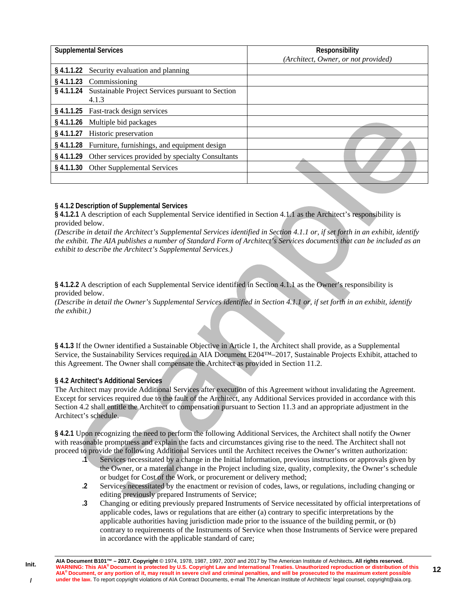|              | <b>Supplemental Services</b>                                         | Responsibility<br>(Architect, Owner, or not provided) |
|--------------|----------------------------------------------------------------------|-------------------------------------------------------|
|              | §4.1.1.22 Security evaluation and planning                           |                                                       |
|              | $§$ 4.1.1.23 Commissioning                                           |                                                       |
|              | § 4.1.1.24 Sustainable Project Services pursuant to Section<br>4.1.3 |                                                       |
|              | §4.1.1.25 Fast-track design services                                 |                                                       |
|              | §4.1.1.26 Multiple bid packages                                      |                                                       |
| § 4.1.1.27   | Historic preservation                                                |                                                       |
| $§$ 4.1.1.28 | Furniture, furnishings, and equipment design                         |                                                       |
|              | §4.1.1.29 Other services provided by specialty Consultants           |                                                       |
|              | §4.1.1.30 Other Supplemental Services                                |                                                       |
|              |                                                                      |                                                       |

## **§ 4.1.2 Description of Supplemental Services**

**§ 4.1.2.1** A description of each Supplemental Service identified in Section 4.1.1 as the Architect's responsibility is provided below.

*(Describe in detail the Architect's Supplemental Services identified in Section 4.1.1 or, if set forth in an exhibit, identify the exhibit. The AIA publishes a number of Standard Form of Architect's Services documents that can be included as an exhibit to describe the Architect's Supplemental Services.)* 

**§ 4.1.2.2** A description of each Supplemental Service identified in Section 4.1.1 as the Owner's responsibility is provided below.

*(Describe in detail the Owner's Supplemental Services identified in Section 4.1.1 or, if set forth in an exhibit, identify the exhibit.)* 

**§ 4.1.3** If the Owner identified a Sustainable Objective in Article 1, the Architect shall provide, as a Supplemental Service, the Sustainability Services required in AIA Document E204™–2017, Sustainable Projects Exhibit, attached to this Agreement. The Owner shall compensate the Architect as provided in Section 11.2.

### **§ 4.2 Architect's Additional Services**

**Init.** 

**/** 

The Architect may provide Additional Services after execution of this Agreement without invalidating the Agreement. Except for services required due to the fault of the Architect, any Additional Services provided in accordance with this Section 4.2 shall entitle the Architect to compensation pursuant to Section 11.3 and an appropriate adjustment in the Architect's schedule.

**§ 4.2.1** Upon recognizing the need to perform the following Additional Services, the Architect shall notify the Owner with reasonable promptness and explain the facts and circumstances giving rise to the need. The Architect shall not proceed to provide the following Additional Services until the Architect receives the Owner's written authorization:

- **.1** Services necessitated by a change in the Initial Information, previous instructions or approvals given by the Owner, or a material change in the Project including size, quality, complexity, the Owner's schedule or budget for Cost of the Work, or procurement or delivery method;
- **.2** Services necessitated by the enactment or revision of codes, laws, or regulations, including changing or editing previously prepared Instruments of Service;
- **.3** Changing or editing previously prepared Instruments of Service necessitated by official interpretations of applicable codes, laws or regulations that are either (a) contrary to specific interpretations by the applicable authorities having jurisdiction made prior to the issuance of the building permit, or (b) contrary to requirements of the Instruments of Service when those Instruments of Service were prepared in accordance with the applicable standard of care;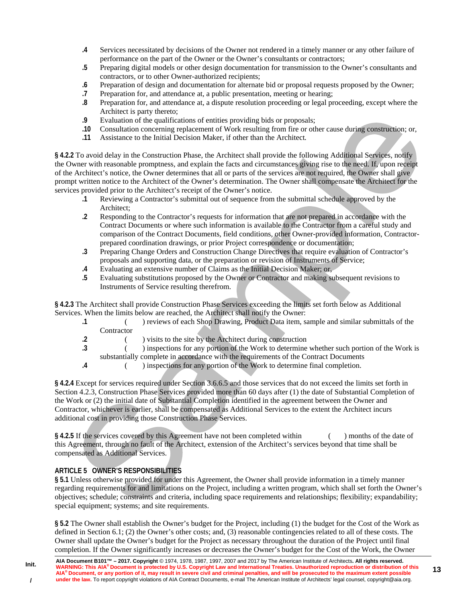- **.4** Services necessitated by decisions of the Owner not rendered in a timely manner or any other failure of performance on the part of the Owner or the Owner's consultants or contractors;
- **.5** Preparing digital models or other design documentation for transmission to the Owner's consultants and contractors, or to other Owner-authorized recipients;
- **.6** Preparation of design and documentation for alternate bid or proposal requests proposed by the Owner;
- **.7** Preparation for, and attendance at, a public presentation, meeting or hearing;
- **.8** Preparation for, and attendance at, a dispute resolution proceeding or legal proceeding, except where the Architect is party thereto;
- **.9** Evaluation of the qualifications of entities providing bids or proposals;
- **.10** Consultation concerning replacement of Work resulting from fire or other cause during construction; or,
- **.11** Assistance to the Initial Decision Maker, if other than the Architect*.*

**§ 4.2.2** To avoid delay in the Construction Phase, the Architect shall provide the following Additional Services, notify the Owner with reasonable promptness, and explain the facts and circumstances giving rise to the need. If, upon receipt of the Architect's notice, the Owner determines that all or parts of the services are not required, the Owner shall give prompt written notice to the Architect of the Owner's determination. The Owner shall compensate the Architect for the services provided prior to the Architect's receipt of the Owner's notice.

- **.1** Reviewing a Contractor's submittal out of sequence from the submittal schedule approved by the Architect;
- **.2** Responding to the Contractor's requests for information that are not prepared in accordance with the Contract Documents or where such information is available to the Contractor from a careful study and comparison of the Contract Documents, field conditions, other Owner-provided information, Contractorprepared coordination drawings, or prior Project correspondence or documentation;
- **.3** Preparing Change Orders and Construction Change Directives that require evaluation of Contractor's proposals and supporting data, or the preparation or revision of Instruments of Service;
- **.4** Evaluating an extensive number of Claims as the Initial Decision Maker; or,
- **.5** Evaluating substitutions proposed by the Owner or Contractor and making subsequent revisions to Instruments of Service resulting therefrom.

**§ 4.2.3** The Architect shall provide Construction Phase Services exceeding the limits set forth below as Additional Services. When the limits below are reached, the Architect shall notify the Owner:

- **.1** ( ) reviews of each Shop Drawing, Product Data item, sample and similar submittals of the **Contractor**
- **.2** ( ) visits to the site by the Architect during construction
- **.3** ( ) inspections for any portion of the Work to determine whether such portion of the Work is substantially complete in accordance with the requirements of the Contract Documents
- **.4** ( ) inspections for any portion of the Work to determine final completion.

**§ 4.2.4** Except for services required under Section 3.6.6.5 and those services that do not exceed the limits set forth in Section 4.2.3, Construction Phase Services provided more than 60 days after (1) the date of Substantial Completion of the Work or (2) the initial date of Substantial Completion identified in the agreement between the Owner and Contractor, whichever is earlier, shall be compensated as Additional Services to the extent the Architect incurs additional cost in providing those Construction Phase Services.

**§ 4.2.5** If the services covered by this Agreement have not been completed within ( ) months of the date of this Agreement, through no fault of the Architect, extension of the Architect's services beyond that time shall be compensated as Additional Services.

# **ARTICLE 5 OWNER'S RESPONSIBILITIES**

**§ 5.1** Unless otherwise provided for under this Agreement, the Owner shall provide information in a timely manner regarding requirements for and limitations on the Project, including a written program, which shall set forth the Owner's objectives; schedule; constraints and criteria, including space requirements and relationships; flexibility; expandability; special equipment; systems; and site requirements.

**§ 5.2** The Owner shall establish the Owner's budget for the Project, including (1) the budget for the Cost of the Work as defined in Section 6.1; (2) the Owner's other costs; and, (3) reasonable contingencies related to all of these costs. The Owner shall update the Owner's budget for the Project as necessary throughout the duration of the Project until final completion. If the Owner significantly increases or decreases the Owner's budget for the Cost of the Work, the Owner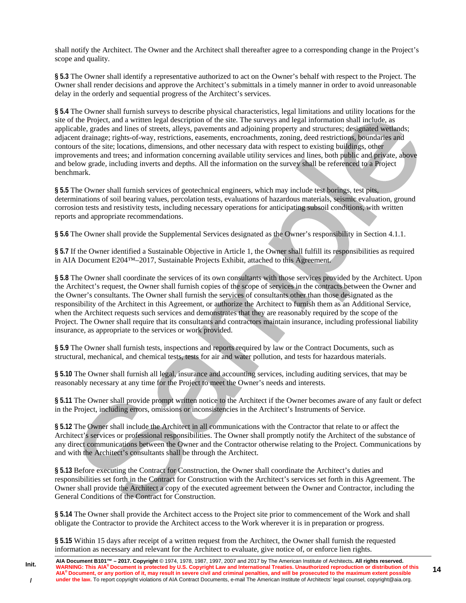shall notify the Architect. The Owner and the Architect shall thereafter agree to a corresponding change in the Project's scope and quality.

**§ 5.3** The Owner shall identify a representative authorized to act on the Owner's behalf with respect to the Project. The Owner shall render decisions and approve the Architect's submittals in a timely manner in order to avoid unreasonable delay in the orderly and sequential progress of the Architect's services.

**§ 5.4** The Owner shall furnish surveys to describe physical characteristics, legal limitations and utility locations for the site of the Project, and a written legal description of the site. The surveys and legal information shall include, as applicable, grades and lines of streets, alleys, pavements and adjoining property and structures; designated wetlands; adjacent drainage; rights-of-way, restrictions, easements, encroachments, zoning, deed restrictions, boundaries and contours of the site; locations, dimensions, and other necessary data with respect to existing buildings, other improvements and trees; and information concerning available utility services and lines, both public and private, above and below grade, including inverts and depths. All the information on the survey shall be referenced to a Project benchmark.

**§ 5.5** The Owner shall furnish services of geotechnical engineers, which may include test borings, test pits, determinations of soil bearing values, percolation tests, evaluations of hazardous materials, seismic evaluation, ground corrosion tests and resistivity tests, including necessary operations for anticipating subsoil conditions, with written reports and appropriate recommendations.

**§ 5.6** The Owner shall provide the Supplemental Services designated as the Owner's responsibility in Section 4.1.1.

**§ 5.7** If the Owner identified a Sustainable Objective in Article 1, the Owner shall fulfill its responsibilities as required in AIA Document E204™–2017, Sustainable Projects Exhibit, attached to this Agreement.

**§ 5.8** The Owner shall coordinate the services of its own consultants with those services provided by the Architect. Upon the Architect's request, the Owner shall furnish copies of the scope of services in the contracts between the Owner and the Owner's consultants. The Owner shall furnish the services of consultants other than those designated as the responsibility of the Architect in this Agreement, or authorize the Architect to furnish them as an Additional Service, when the Architect requests such services and demonstrates that they are reasonably required by the scope of the Project. The Owner shall require that its consultants and contractors maintain insurance, including professional liability insurance, as appropriate to the services or work provided.

**§ 5.9** The Owner shall furnish tests, inspections and reports required by law or the Contract Documents, such as structural, mechanical, and chemical tests, tests for air and water pollution, and tests for hazardous materials.

**§ 5.10** The Owner shall furnish all legal, insurance and accounting services, including auditing services, that may be reasonably necessary at any time for the Project to meet the Owner's needs and interests.

§ 5.11 The Owner shall provide prompt written notice to the Architect if the Owner becomes aware of any fault or defect in the Project, including errors, omissions or inconsistencies in the Architect's Instruments of Service.

**§ 5.12** The Owner shall include the Architect in all communications with the Contractor that relate to or affect the Architect's services or professional responsibilities. The Owner shall promptly notify the Architect of the substance of any direct communications between the Owner and the Contractor otherwise relating to the Project. Communications by and with the Architect's consultants shall be through the Architect.

**§ 5.13** Before executing the Contract for Construction, the Owner shall coordinate the Architect's duties and responsibilities set forth in the Contract for Construction with the Architect's services set forth in this Agreement. The Owner shall provide the Architect a copy of the executed agreement between the Owner and Contractor, including the General Conditions of the Contract for Construction.

**§ 5.14** The Owner shall provide the Architect access to the Project site prior to commencement of the Work and shall obligate the Contractor to provide the Architect access to the Work wherever it is in preparation or progress.

**§ 5.15** Within 15 days after receipt of a written request from the Architect, the Owner shall furnish the requested information as necessary and relevant for the Architect to evaluate, give notice of, or enforce lien rights.

**14**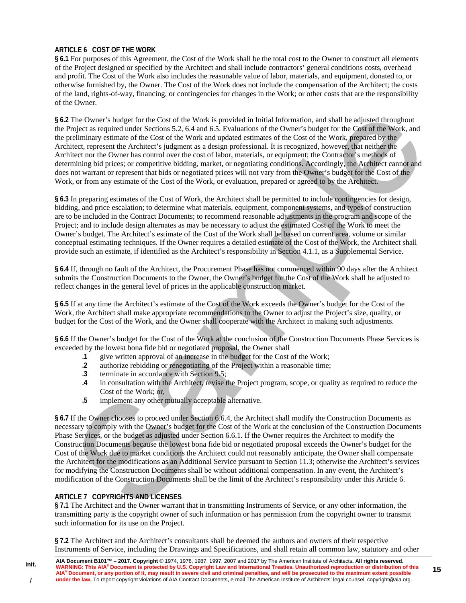## **ARTICLE 6 COST OF THE WORK**

**§ 6.1** For purposes of this Agreement, the Cost of the Work shall be the total cost to the Owner to construct all elements of the Project designed or specified by the Architect and shall include contractors' general conditions costs, overhead and profit. The Cost of the Work also includes the reasonable value of labor, materials, and equipment, donated to, or otherwise furnished by, the Owner. The Cost of the Work does not include the compensation of the Architect; the costs of the land, rights-of-way, financing, or contingencies for changes in the Work; or other costs that are the responsibility of the Owner.

**§ 6.2** The Owner's budget for the Cost of the Work is provided in Initial Information, and shall be adjusted throughout the Project as required under Sections 5.2, 6.4 and 6.5. Evaluations of the Owner's budget for the Cost of the Work, and the preliminary estimate of the Cost of the Work and updated estimates of the Cost of the Work, prepared by the Architect, represent the Architect's judgment as a design professional. It is recognized, however, that neither the Architect nor the Owner has control over the cost of labor, materials, or equipment; the Contractor's methods of determining bid prices; or competitive bidding, market, or negotiating conditions. Accordingly, the Architect cannot and does not warrant or represent that bids or negotiated prices will not vary from the Owner's budget for the Cost of the Work, or from any estimate of the Cost of the Work, or evaluation, prepared or agreed to by the Architect.

**§ 6.3** In preparing estimates of the Cost of Work, the Architect shall be permitted to include contingencies for design, bidding, and price escalation; to determine what materials, equipment, component systems, and types of construction are to be included in the Contract Documents; to recommend reasonable adjustments in the program and scope of the Project; and to include design alternates as may be necessary to adjust the estimated Cost of the Work to meet the Owner's budget. The Architect's estimate of the Cost of the Work shall be based on current area, volume or similar conceptual estimating techniques. If the Owner requires a detailed estimate of the Cost of the Work, the Architect shall provide such an estimate, if identified as the Architect's responsibility in Section 4.1.1, as a Supplemental Service.

**§ 6.4** If, through no fault of the Architect, the Procurement Phase has not commenced within 90 days after the Architect submits the Construction Documents to the Owner, the Owner's budget for the Cost of the Work shall be adjusted to reflect changes in the general level of prices in the applicable construction market.

**§ 6.5** If at any time the Architect's estimate of the Cost of the Work exceeds the Owner's budget for the Cost of the Work, the Architect shall make appropriate recommendations to the Owner to adjust the Project's size, quality, or budget for the Cost of the Work, and the Owner shall cooperate with the Architect in making such adjustments.

**§ 6.6** If the Owner's budget for the Cost of the Work at the conclusion of the Construction Documents Phase Services is exceeded by the lowest bona fide bid or negotiated proposal, the Owner shall

- **.1** give written approval of an increase in the budget for the Cost of the Work;
- **.2** authorize rebidding or renegotiating of the Project within a reasonable time;
- **.3** terminate in accordance with Section 9.5;
- **.4** in consultation with the Architect, revise the Project program, scope, or quality as required to reduce the Cost of the Work; or,
- **.5** implement any other mutually acceptable alternative.

**§ 6.7** If the Owner chooses to proceed under Section 6.6.4, the Architect shall modify the Construction Documents as necessary to comply with the Owner's budget for the Cost of the Work at the conclusion of the Construction Documents Phase Services, or the budget as adjusted under Section 6.6.1. If the Owner requires the Architect to modify the Construction Documents because the lowest bona fide bid or negotiated proposal exceeds the Owner's budget for the Cost of the Work due to market conditions the Architect could not reasonably anticipate, the Owner shall compensate the Architect for the modifications as an Additional Service pursuant to Section 11.3; otherwise the Architect's services for modifying the Construction Documents shall be without additional compensation. In any event, the Architect's modification of the Construction Documents shall be the limit of the Architect's responsibility under this Article 6.

# **ARTICLE 7 COPYRIGHTS AND LICENSES**

**Init.** 

**/** 

**§ 7.1** The Architect and the Owner warrant that in transmitting Instruments of Service, or any other information, the transmitting party is the copyright owner of such information or has permission from the copyright owner to transmit such information for its use on the Project.

**§ 7.2** The Architect and the Architect's consultants shall be deemed the authors and owners of their respective Instruments of Service, including the Drawings and Specifications, and shall retain all common law, statutory and other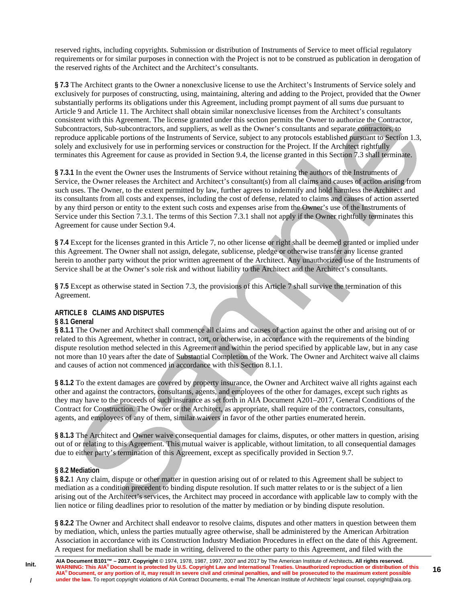reserved rights, including copyrights. Submission or distribution of Instruments of Service to meet official regulatory requirements or for similar purposes in connection with the Project is not to be construed as publication in derogation of the reserved rights of the Architect and the Architect's consultants.

**§ 7.3** The Architect grants to the Owner a nonexclusive license to use the Architect's Instruments of Service solely and exclusively for purposes of constructing, using, maintaining, altering and adding to the Project, provided that the Owner substantially performs its obligations under this Agreement, including prompt payment of all sums due pursuant to Article 9 and Article 11. The Architect shall obtain similar nonexclusive licenses from the Architect's consultants consistent with this Agreement. The license granted under this section permits the Owner to authorize the Contractor, Subcontractors, Sub-subcontractors, and suppliers, as well as the Owner's consultants and separate contractors, to reproduce applicable portions of the Instruments of Service, subject to any protocols established pursuant to Section 1.3, solely and exclusively for use in performing services or construction for the Project. If the Architect rightfully terminates this Agreement for cause as provided in Section 9.4, the license granted in this Section 7.3 shall terminate.

**§ 7.3.1** In the event the Owner uses the Instruments of Service without retaining the authors of the Instruments of Service, the Owner releases the Architect and Architect's consultant(s) from all claims and causes of action arising from such uses. The Owner, to the extent permitted by law, further agrees to indemnify and hold harmless the Architect and its consultants from all costs and expenses, including the cost of defense, related to claims and causes of action asserted by any third person or entity to the extent such costs and expenses arise from the Owner's use of the Instruments of Service under this Section 7.3.1. The terms of this Section 7.3.1 shall not apply if the Owner rightfully terminates this Agreement for cause under Section 9.4.

**§ 7.4** Except for the licenses granted in this Article 7, no other license or right shall be deemed granted or implied under this Agreement. The Owner shall not assign, delegate, sublicense, pledge or otherwise transfer any license granted herein to another party without the prior written agreement of the Architect. Any unauthorized use of the Instruments of Service shall be at the Owner's sole risk and without liability to the Architect and the Architect's consultants.

**§ 7.5** Except as otherwise stated in Section 7.3, the provisions of this Article 7 shall survive the termination of this Agreement.

### **ARTICLE 8 CLAIMS AND DISPUTES**

### **§ 8.1 General**

**§ 8.1.1** The Owner and Architect shall commence all claims and causes of action against the other and arising out of or related to this Agreement, whether in contract, tort, or otherwise, in accordance with the requirements of the binding dispute resolution method selected in this Agreement and within the period specified by applicable law, but in any case not more than 10 years after the date of Substantial Completion of the Work. The Owner and Architect waive all claims and causes of action not commenced in accordance with this Section 8.1.1.

**§ 8.1.2** To the extent damages are covered by property insurance, the Owner and Architect waive all rights against each other and against the contractors, consultants, agents, and employees of the other for damages, except such rights as they may have to the proceeds of such insurance as set forth in AIA Document A201–2017, General Conditions of the Contract for Construction. The Owner or the Architect, as appropriate, shall require of the contractors, consultants, agents, and employees of any of them, similar waivers in favor of the other parties enumerated herein.

**§ 8.1.3** The Architect and Owner waive consequential damages for claims, disputes, or other matters in question, arising out of or relating to this Agreement. This mutual waiver is applicable, without limitation, to all consequential damages due to either party's termination of this Agreement, except as specifically provided in Section 9.7.

### **§ 8.2 Mediation**

**Init.** 

**/** 

**§ 8.2.**1 Any claim, dispute or other matter in question arising out of or related to this Agreement shall be subject to mediation as a condition precedent to binding dispute resolution. If such matter relates to or is the subject of a lien arising out of the Architect's services, the Architect may proceed in accordance with applicable law to comply with the lien notice or filing deadlines prior to resolution of the matter by mediation or by binding dispute resolution.

**§ 8.2.2** The Owner and Architect shall endeavor to resolve claims, disputes and other matters in question between them by mediation, which, unless the parties mutually agree otherwise, shall be administered by the American Arbitration Association in accordance with its Construction Industry Mediation Procedures in effect on the date of this Agreement. A request for mediation shall be made in writing, delivered to the other party to this Agreement, and filed with the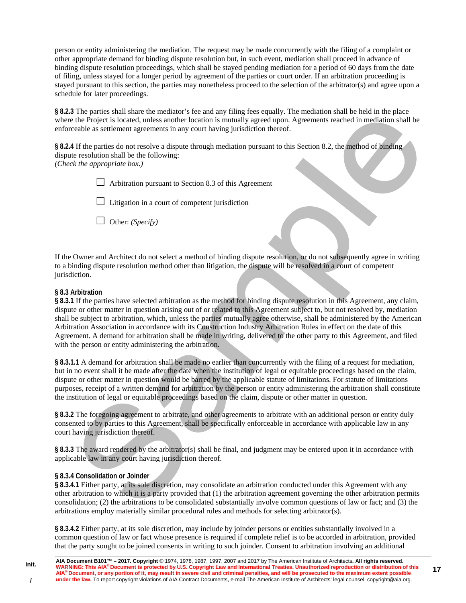person or entity administering the mediation. The request may be made concurrently with the filing of a complaint or other appropriate demand for binding dispute resolution but, in such event, mediation shall proceed in advance of binding dispute resolution proceedings, which shall be stayed pending mediation for a period of 60 days from the date of filing, unless stayed for a longer period by agreement of the parties or court order. If an arbitration proceeding is stayed pursuant to this section, the parties may nonetheless proceed to the selection of the arbitrator(s) and agree upon a schedule for later proceedings.

**§ 8.2.3** The parties shall share the mediator's fee and any filing fees equally. The mediation shall be held in the place where the Project is located, unless another location is mutually agreed upon. Agreements reached in mediation shall be enforceable as settlement agreements in any court having jurisdiction thereof.

**§ 8.2.4** If the parties do not resolve a dispute through mediation pursuant to this Section 8.2, the method of binding dispute resolution shall be the following: *(Check the appropriate box.)* 

> $\Box$  Arbitration pursuant to Section 8.3 of this Agreement  $\Box$  Litigation in a court of competent jurisdiction Other: *(Specify)*

If the Owner and Architect do not select a method of binding dispute resolution, or do not subsequently agree in writing to a binding dispute resolution method other than litigation, the dispute will be resolved in a court of competent jurisdiction.

## **§ 8.3 Arbitration**

**§ 8.3.1** If the parties have selected arbitration as the method for binding dispute resolution in this Agreement, any claim, dispute or other matter in question arising out of or related to this Agreement subject to, but not resolved by, mediation shall be subject to arbitration, which, unless the parties mutually agree otherwise, shall be administered by the American Arbitration Association in accordance with its Construction Industry Arbitration Rules in effect on the date of this Agreement. A demand for arbitration shall be made in writing, delivered to the other party to this Agreement, and filed with the person or entity administering the arbitration.

**§ 8.3.1.1** A demand for arbitration shall be made no earlier than concurrently with the filing of a request for mediation, but in no event shall it be made after the date when the institution of legal or equitable proceedings based on the claim, dispute or other matter in question would be barred by the applicable statute of limitations. For statute of limitations purposes, receipt of a written demand for arbitration by the person or entity administering the arbitration shall constitute the institution of legal or equitable proceedings based on the claim, dispute or other matter in question.

**§ 8.3.2** The foregoing agreement to arbitrate, and other agreements to arbitrate with an additional person or entity duly consented to by parties to this Agreement, shall be specifically enforceable in accordance with applicable law in any court having jurisdiction thereof.

**§ 8.3.3** The award rendered by the arbitrator(s) shall be final, and judgment may be entered upon it in accordance with applicable law in any court having jurisdiction thereof.

### **§ 8.3.4 Consolidation or Joinder**

**Init.** 

**/** 

**§ 8.3.4.1** Either party, at its sole discretion, may consolidate an arbitration conducted under this Agreement with any other arbitration to which it is a party provided that (1) the arbitration agreement governing the other arbitration permits consolidation; (2) the arbitrations to be consolidated substantially involve common questions of law or fact; and (3) the arbitrations employ materially similar procedural rules and methods for selecting arbitrator(s).

**§ 8.3.4.2** Either party, at its sole discretion, may include by joinder persons or entities substantially involved in a common question of law or fact whose presence is required if complete relief is to be accorded in arbitration, provided that the party sought to be joined consents in writing to such joinder. Consent to arbitration involving an additional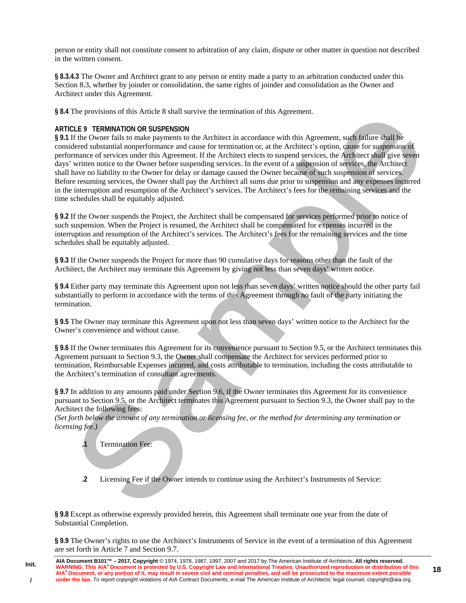person or entity shall not constitute consent to arbitration of any claim, dispute or other matter in question not described in the written consent.

**§ 8.3.4.3** The Owner and Architect grant to any person or entity made a party to an arbitration conducted under this Section 8.3, whether by joinder or consolidation, the same rights of joinder and consolidation as the Owner and Architect under this Agreement.

**§ 8.4** The provisions of this Article 8 shall survive the termination of this Agreement.

#### **ARTICLE 9 TERMINATION OR SUSPENSION**

**§ 9.1** If the Owner fails to make payments to the Architect in accordance with this Agreement, such failure shall be considered substantial nonperformance and cause for termination or, at the Architect's option, cause for suspension of performance of services under this Agreement. If the Architect elects to suspend services, the Architect shall give seven days' written notice to the Owner before suspending services. In the event of a suspension of services, the Architect shall have no liability to the Owner for delay or damage caused the Owner because of such suspension of services. Before resuming services, the Owner shall pay the Architect all sums due prior to suspension and any expenses incurred in the interruption and resumption of the Architect's services. The Architect's fees for the remaining services and the time schedules shall be equitably adjusted.

**§ 9.2** If the Owner suspends the Project, the Architect shall be compensated for services performed prior to notice of such suspension. When the Project is resumed, the Architect shall be compensated for expenses incurred in the interruption and resumption of the Architect's services. The Architect's fees for the remaining services and the time schedules shall be equitably adjusted.

**§ 9.3** If the Owner suspends the Project for more than 90 cumulative days for reasons other than the fault of the Architect, the Architect may terminate this Agreement by giving not less than seven days' written notice.

**§ 9.4** Either party may terminate this Agreement upon not less than seven days' written notice should the other party fail substantially to perform in accordance with the terms of this Agreement through no fault of the party initiating the termination.

**§ 9.5** The Owner may terminate this Agreement upon not less than seven days' written notice to the Architect for the Owner's convenience and without cause.

**§ 9.6** If the Owner terminates this Agreement for its convenience pursuant to Section 9.5, or the Architect terminates this Agreement pursuant to Section 9.3, the Owner shall compensate the Architect for services performed prior to termination, Reimbursable Expenses incurred, and costs attributable to termination, including the costs attributable to the Architect's termination of consultant agreements.

**§ 9.7** In addition to any amounts paid under Section 9.6, if the Owner terminates this Agreement for its convenience pursuant to Section 9.5, or the Architect terminates this Agreement pursuant to Section 9.3, the Owner shall pay to the Architect the following fees:

*(Set forth below the amount of any termination or licensing fee, or the method for determining any termination or licensing fee.)* 

**.1** Termination Fee:

**.2** Licensing Fee if the Owner intends to continue using the Architect's Instruments of Service:

**§ 9.8** Except as otherwise expressly provided herein, this Agreement shall terminate one year from the date of Substantial Completion.

**§ 9.9** The Owner's rights to use the Architect's Instruments of Service in the event of a termination of this Agreement are set forth in Article 7 and Section 9.7.

**18**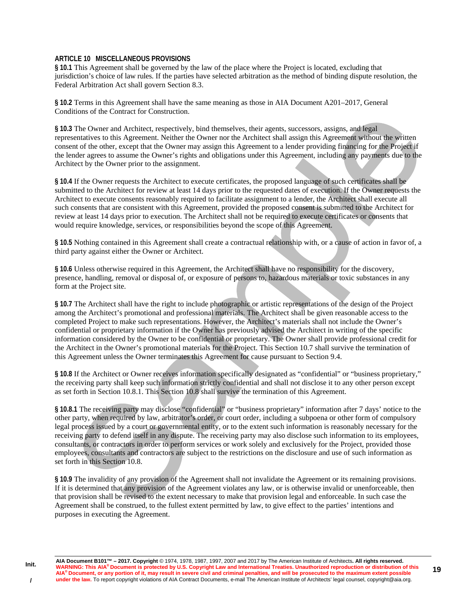### **ARTICLE 10 MISCELLANEOUS PROVISIONS**

**§ 10.1** This Agreement shall be governed by the law of the place where the Project is located, excluding that jurisdiction's choice of law rules. If the parties have selected arbitration as the method of binding dispute resolution, the Federal Arbitration Act shall govern Section 8.3.

**§ 10.2** Terms in this Agreement shall have the same meaning as those in AIA Document A201–2017, General Conditions of the Contract for Construction.

**§ 10.3** The Owner and Architect, respectively, bind themselves, their agents, successors, assigns, and legal representatives to this Agreement. Neither the Owner nor the Architect shall assign this Agreement without the written consent of the other, except that the Owner may assign this Agreement to a lender providing financing for the Project if the lender agrees to assume the Owner's rights and obligations under this Agreement, including any payments due to the Architect by the Owner prior to the assignment.

**§ 10.4** If the Owner requests the Architect to execute certificates, the proposed language of such certificates shall be submitted to the Architect for review at least 14 days prior to the requested dates of execution. If the Owner requests the Architect to execute consents reasonably required to facilitate assignment to a lender, the Architect shall execute all such consents that are consistent with this Agreement, provided the proposed consent is submitted to the Architect for review at least 14 days prior to execution. The Architect shall not be required to execute certificates or consents that would require knowledge, services, or responsibilities beyond the scope of this Agreement.

**§ 10.5** Nothing contained in this Agreement shall create a contractual relationship with, or a cause of action in favor of, a third party against either the Owner or Architect.

**§ 10.6** Unless otherwise required in this Agreement, the Architect shall have no responsibility for the discovery, presence, handling, removal or disposal of, or exposure of persons to, hazardous materials or toxic substances in any form at the Project site.

**§ 10.7** The Architect shall have the right to include photographic or artistic representations of the design of the Project among the Architect's promotional and professional materials. The Architect shall be given reasonable access to the completed Project to make such representations. However, the Architect's materials shall not include the Owner's confidential or proprietary information if the Owner has previously advised the Architect in writing of the specific information considered by the Owner to be confidential or proprietary. The Owner shall provide professional credit for the Architect in the Owner's promotional materials for the Project. This Section 10.7 shall survive the termination of this Agreement unless the Owner terminates this Agreement for cause pursuant to Section 9.4.

**§ 10.8** If the Architect or Owner receives information specifically designated as "confidential" or "business proprietary," the receiving party shall keep such information strictly confidential and shall not disclose it to any other person except as set forth in Section 10.8.1. This Section 10.8 shall survive the termination of this Agreement.

**§ 10.8.1** The receiving party may disclose "confidential" or "business proprietary" information after 7 days' notice to the other party, when required by law, arbitrator's order, or court order, including a subpoena or other form of compulsory legal process issued by a court or governmental entity, or to the extent such information is reasonably necessary for the receiving party to defend itself in any dispute. The receiving party may also disclose such information to its employees, consultants, or contractors in order to perform services or work solely and exclusively for the Project, provided those employees, consultants and contractors are subject to the restrictions on the disclosure and use of such information as set forth in this Section 10.8.

**§ 10.9** The invalidity of any provision of the Agreement shall not invalidate the Agreement or its remaining provisions. If it is determined that any provision of the Agreement violates any law, or is otherwise invalid or unenforceable, then that provision shall be revised to the extent necessary to make that provision legal and enforceable. In such case the Agreement shall be construed, to the fullest extent permitted by law, to give effect to the parties' intentions and purposes in executing the Agreement.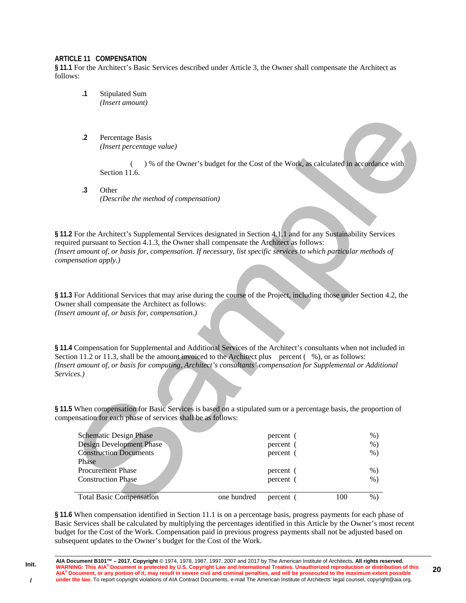#### **ARTICLE 11 COMPENSATION**

**Init.** 

**/** 

**§ 11.1** For the Architect's Basic Services described under Article 3, the Owner shall compensate the Architect as follows:

- **.1** Stipulated Sum  *(Insert amount)*
- **.2** Percentage Basis  *(Insert percentage value)*

 ( ) % of the Owner's budget for the Cost of the Work, as calculated in accordance with Section 11.6.

**.3** Other  *(Describe the method of compensation)* 

**§ 11.2** For the Architect's Supplemental Services designated in Section 4.1.1 and for any Sustainability Services required pursuant to Section 4.1.3, the Owner shall compensate the Architect as follows: *(Insert amount of, or basis for, compensation. If necessary, list specific services to which particular methods of compensation apply.)* 

**§ 11.3** For Additional Services that may arise during the course of the Project, including those under Section 4.2, the Owner shall compensate the Architect as follows: *(Insert amount of, or basis for, compensation.)* 

**§ 11.4** Compensation for Supplemental and Additional Services of the Architect's consultants when not included in Section 11.2 or 11.3, shall be the amount invoiced to the Architect plus percent  $( %)$ , or as follows: *(Insert amount of, or basis for computing, Architect's consultants' compensation for Supplemental or Additional Services.)* 

**§ 11.5** When compensation for Basic Services is based on a stipulated sum or a percentage basis, the proportion of compensation for each phase of services shall be as follows:

| <b>Schematic Design Phase</b>   |             | percent ( |     | $%$ ) |
|---------------------------------|-------------|-----------|-----|-------|
| Design Development Phase        |             | percent ( |     | %     |
| <b>Construction Documents</b>   |             | percent ( |     | $%$ ) |
| Phase                           |             |           |     |       |
| <b>Procurement Phase</b>        |             | percent ( |     | $%$ ) |
| <b>Construction Phase</b>       |             | percent ( |     | $%$ ) |
| <b>Total Basic Compensation</b> | one hundred | percent   | 100 | %     |

**§ 11.6** When compensation identified in Section 11.1 is on a percentage basis, progress payments for each phase of Basic Services shall be calculated by multiplying the percentages identified in this Article by the Owner's most recent budget for the Cost of the Work. Compensation paid in previous progress payments shall not be adjusted based on subsequent updates to the Owner's budget for the Cost of the Work.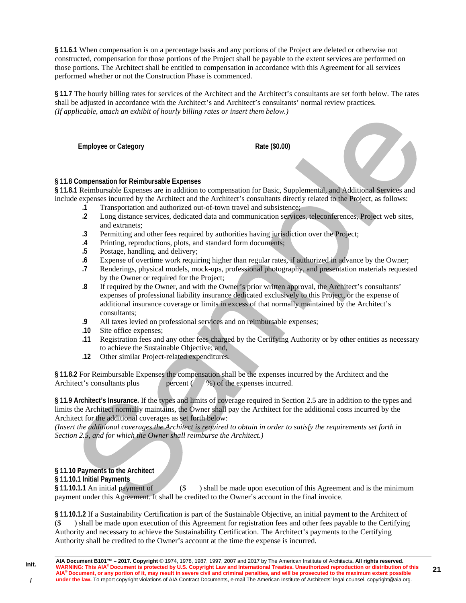**§ 11.6.1** When compensation is on a percentage basis and any portions of the Project are deleted or otherwise not constructed, compensation for those portions of the Project shall be payable to the extent services are performed on those portions. The Architect shall be entitled to compensation in accordance with this Agreement for all services performed whether or not the Construction Phase is commenced.

**§ 11.7** The hourly billing rates for services of the Architect and the Architect's consultants are set forth below. The rates shall be adjusted in accordance with the Architect's and Architect's consultants' normal review practices. *(If applicable, attach an exhibit of hourly billing rates or insert them below.)* 

**Employee or Category**  The Rate (\$0.00) **Rate (\$0.00)** 

## **§ 11.8 Compensation for Reimbursable Expenses**

**§ 11.8.1** Reimbursable Expenses are in addition to compensation for Basic, Supplemental, and Additional Services and include expenses incurred by the Architect and the Architect's consultants directly related to the Project, as follows:

- **.1** Transportation and authorized out-of-town travel and subsistence;
- **.2** Long distance services, dedicated data and communication services, teleconferences, Project web sites, and extranets;
- **.3** Permitting and other fees required by authorities having jurisdiction over the Project;
- **.4** Printing, reproductions, plots, and standard form documents;
- **.5** Postage, handling, and delivery;
- **.6** Expense of overtime work requiring higher than regular rates, if authorized in advance by the Owner;
- **.7** Renderings, physical models, mock-ups, professional photography, and presentation materials requested by the Owner or required for the Project;
- **.8** If required by the Owner, and with the Owner's prior written approval, the Architect's consultants' expenses of professional liability insurance dedicated exclusively to this Project, or the expense of additional insurance coverage or limits in excess of that normally maintained by the Architect's consultants;
- **.9** All taxes levied on professional services and on reimbursable expenses;
- **.10** Site office expenses;
- **.11** Registration fees and any other fees charged by the Certifying Authority or by other entities as necessary to achieve the Sustainable Objective; and,
- **.12** Other similar Project-related expenditures.

**§ 11.8.2** For Reimbursable Expenses the compensation shall be the expenses incurred by the Architect and the Architect's consultants plus percent (  $\%$ ) of the expenses incurred.

**§ 11.9 Architect's Insurance.** If the types and limits of coverage required in Section 2.5 are in addition to the types and limits the Architect normally maintains, the Owner shall pay the Architect for the additional costs incurred by the Architect for the additional coverages as set forth below:

*(Insert the additional coverages the Architect is required to obtain in order to satisfy the requirements set forth in Section 2.5, and for which the Owner shall reimburse the Architect.)* 

### **§ 11.10 Payments to the Architect**

**§ 11.10.1 Initial Payments** 

**Init.** 

**/** 

**§ 11.10.1.1** An initial payment of (\$ ) shall be made upon execution of this Agreement and is the minimum payment under this Agreement. It shall be credited to the Owner's account in the final invoice.

**§ 11.10.1.2** If a Sustainability Certification is part of the Sustainable Objective, an initial payment to the Architect of (\$ ) shall be made upon execution of this Agreement for registration fees and other fees payable to the Certifying Authority and necessary to achieve the Sustainability Certification. The Architect's payments to the Certifying Authority shall be credited to the Owner's account at the time the expense is incurred.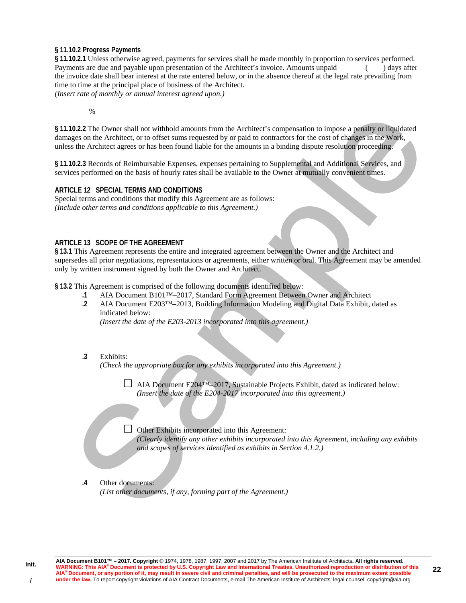## **§ 11.10.2 Progress Payments**

**§ 11.10.2.1** Unless otherwise agreed, payments for services shall be made monthly in proportion to services performed. Payments are due and payable upon presentation of the Architect's invoice. Amounts unpaid ( ) days after the invoice date shall bear interest at the rate entered below, or in the absence thereof at the legal rate prevailing from time to time at the principal place of business of the Architect. *(Insert rate of monthly or annual interest agreed upon.)* 

 $\frac{0}{6}$ 

**§ 11.10.2.2** The Owner shall not withhold amounts from the Architect's compensation to impose a penalty or liquidated damages on the Architect, or to offset sums requested by or paid to contractors for the cost of changes in the Work, unless the Architect agrees or has been found liable for the amounts in a binding dispute resolution proceeding.

**§ 11.10.2.3** Records of Reimbursable Expenses, expenses pertaining to Supplemental and Additional Services, and services performed on the basis of hourly rates shall be available to the Owner at mutually convenient times.

## **ARTICLE 12 SPECIAL TERMS AND CONDITIONS**

Special terms and conditions that modify this Agreement are as follows: *(Include other terms and conditions applicable to this Agreement.)* 

## **ARTICLE 13 SCOPE OF THE AGREEMENT**

**§ 13.1** This Agreement represents the entire and integrated agreement between the Owner and the Architect and supersedes all prior negotiations, representations or agreements, either written or oral. This Agreement may be amended only by written instrument signed by both the Owner and Architect.

**§ 13.2** This Agreement is comprised of the following documents identified below:

- **.1** AIA Document B101™–2017, Standard Form Agreement Between Owner and Architect
- **.2** AIA Document E203™–2013, Building Information Modeling and Digital Data Exhibit, dated as indicated below:

 *(Insert the date of the E203-2013 incorporated into this agreement.)* 

**.3** Exhibits:

*(Check the appropriate box for any exhibits incorporated into this Agreement.)* 

 AIA Document E204™–2017, Sustainable Projects Exhibit, dated as indicated below: *(Insert the date of the E204-2017 incorporated into this agreement.)*

 Other Exhibits incorporated into this Agreement:  *(Clearly identify any other exhibits incorporated into this Agreement, including any exhibits and scopes of services identified as exhibits in Section 4.1.2.)* 

**.4** Other documents:

*(List other documents, if any, forming part of the Agreement.)* 

**/**